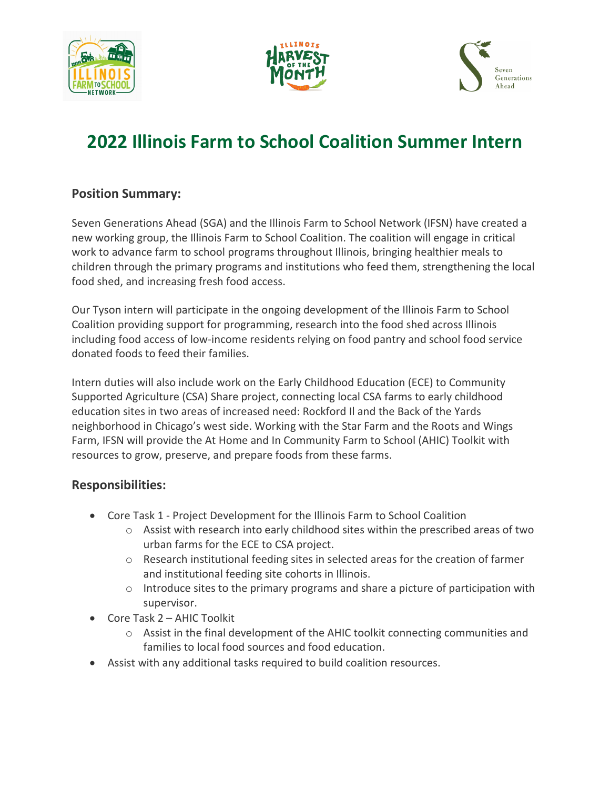





# **2022 Illinois Farm to School Coalition Summer Intern**

#### **Position Summary:**

Seven Generations Ahead (SGA) and the Illinois Farm to School Network (IFSN) have created a new working group, the Illinois Farm to School Coalition. The coalition will engage in critical work to advance farm to school programs throughout Illinois, bringing healthier meals to children through the primary programs and institutions who feed them, strengthening the local food shed, and increasing fresh food access.

Our Tyson intern will participate in the ongoing development of the Illinois Farm to School Coalition providing support for programming, research into the food shed across Illinois including food access of low-income residents relying on food pantry and school food service donated foods to feed their families.

Intern duties will also include work on the Early Childhood Education (ECE) to Community Supported Agriculture (CSA) Share project, connecting local CSA farms to early childhood education sites in two areas of increased need: Rockford Il and the Back of the Yards neighborhood in Chicago's west side. Working with the Star Farm and the Roots and Wings Farm, IFSN will provide the At Home and In Community Farm to School (AHIC) Toolkit with resources to grow, preserve, and prepare foods from these farms.

## **Responsibilities:**

- Core Task 1 Project Development for the Illinois Farm to School Coalition
	- $\circ$  Assist with research into early childhood sites within the prescribed areas of two urban farms for the ECE to CSA project.
	- o Research institutional feeding sites in selected areas for the creation of farmer and institutional feeding site cohorts in Illinois.
	- $\circ$  Introduce sites to the primary programs and share a picture of participation with supervisor.
- Core Task 2 AHIC Toolkit
	- $\circ$  Assist in the final development of the AHIC toolkit connecting communities and families to local food sources and food education.
- Assist with any additional tasks required to build coalition resources.